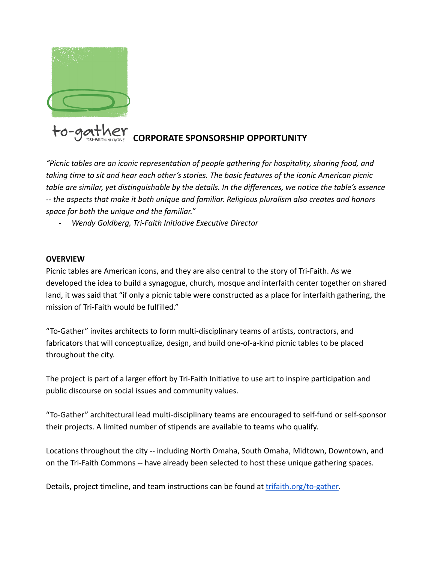

*"Picnic tables are an iconic representation of people gathering for hospitality, sharing food, and taking time to sit and hear each other's stories. The basic features of the iconic American picnic table are similar, yet distinguishable by the details. In the differences, we notice the table's essence -- the aspects that make it both unique and familiar. Religious pluralism also creates and honors space for both the unique and the familiar."*

*- Wendy Goldberg, Tri-Faith Initiative Executive Director*

### **OVERVIEW**

Picnic tables are American icons, and they are also central to the story of Tri-Faith. As we developed the idea to build a synagogue, church, mosque and interfaith center together on shared land, it was said that "if only a picnic table were constructed as a place for interfaith gathering, the mission of Tri-Faith would be fulfilled."

"To-Gather" invites architects to form multi-disciplinary teams of artists, contractors, and fabricators that will conceptualize, design, and build one-of-a-kind picnic tables to be placed throughout the city.

The project is part of a larger effort by Tri-Faith Initiative to use art to inspire participation and public discourse on social issues and community values.

"To-Gather" architectural lead multi-disciplinary teams are encouraged to self-fund or self-sponsor their projects. A limited number of stipends are available to teams who qualify.

Locations throughout the city -- including North Omaha, South Omaha, Midtown, Downtown, and on the Tri-Faith Commons -- have already been selected to host these unique gathering spaces.

Details, project timeline, and team instructions can be found at [trifaith.org/to-gather.](http://trifaith.org/to-gather)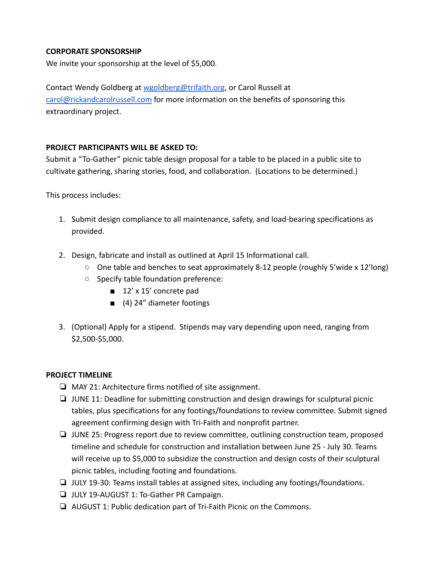# **CORPORATE SPONSORSHIP**

We invite your sponsorship at the level of \$5,000.

Contact Wendy Goldberg at [wgoldberg@trifaith.org](mailto:wgoldberg@trifaith.org), or Carol Russell at [carol@rickandcarolrussell.com](mailto:carol@rickandcarolrussell.com) for more information on the benefits of sponsoring this extraordinary project.

# **PROJECT PARTICIPANTS WILL BE ASKED TO:**

Submit a "To-Gather" picnic table design proposal for a table to be placed in a public site to cultivate gathering, sharing stories, food, and collaboration. (Locations to be determined.)

This process includes:

- 1. Submit design compliance to all maintenance, safety, and load-bearing specifications as provided.
- 2. Design, fabricate and install as outlined at April 15 Informational call.
	- $\circ$  One table and benches to seat approximately 8-12 people (roughly 5'wide x 12'long)
	- Specify table foundation preference:
		- 12' x 15' concrete pad
		- (4) 24" diameter footings
- 3. (Optional) Apply for a stipend. Stipends may vary depending upon need, ranging from \$2,500-\$5,000.

# **PROJECT TIMELINE**

- ❏ MAY 21: Architecture firms notified of site assignment.
- ❏ JUNE 11: Deadline for submitting construction and design drawings for sculptural picnic tables, plus specifications for any footings/foundations to review committee. Submit signed agreement confirming design with Tri-Faith and nonprofit partner.
- ❏ JUNE 25: Progress report due to review committee, outlining construction team, proposed timeline and schedule for construction and installation between June 25 - July 30. Teams will receive up to \$5,000 to subsidize the construction and design costs of their sculptural picnic tables, including footing and foundations.
- ❏ JULY 19-30: Teams install tables at assigned sites, including any footings/foundations.
- ❏ JULY 19-AUGUST 1: To-Gather PR Campaign.
- ❏ AUGUST 1: Public dedication part of Tri-Faith Picnic on the Commons.